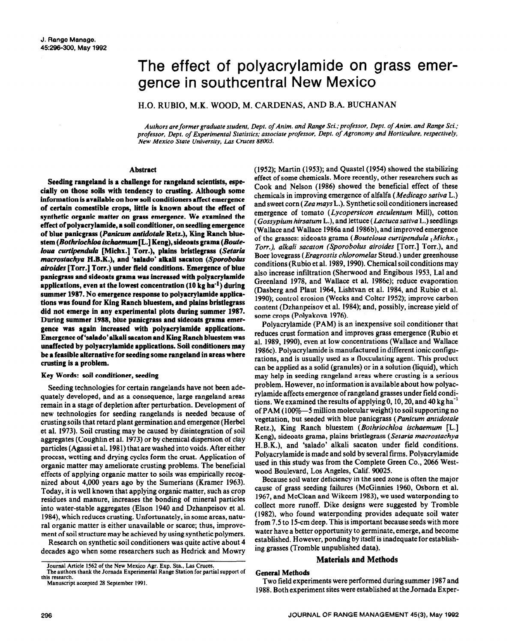# The effect of polyacrylamide on grass emergence in southcentral New Mexico

H.O. RUBIO, M.K. WOOD, M. CARDENAS, AND B.A. BUCHANAN

*Authors are* former *graduate student, Dept. of Anim. and Range Sci.; professor, Dept. of Anim. and Range Sci.; professor, Dept. of Experimental Statistics; associate professor, Dept. of Agronomy and Horticulure, respectively, New Mexico State University, Las Cruces 88003.* 

## **Abstract**

**Seeding rangeland is a challenge for rangeland scientists, especially on those soils with tendency to crusting. Although some information is available on how soil conditioners affect emergence of certain comestible crops, little is known about the effect of synthetic organic matter on grass emergence. We examined the effect of polyacrylamide, a soil conditioner, on seedling emergence**  of blue panicgrass (*Panicum antidotale* Retz.), King Ranch blue**stem** *(Bothriochlou isclurcnuun* **[L.] Keng), sideoats grama (Boutelow** *curtipendula* **[Michx.] Torr.), plains bristlegrass (Setaria**   $macrostachya H.B.K.), and 'salado' alkali sacaton (Sporobolus' )$ *airokfes* **[Torr. ] Torr.) under field conditions. Emergence of blue panicgrass and sideoats grama was increased with polyacrylamide**  applications, even at the lowest concentration (10 kg ha<sup>-1</sup>) during **summer 1987. No emergence response to polyacrylamide applications was found for King Ranch bluestem, and plains bristlegrass did not emerge in any experimental plots during summer 1987. During summer 1988, blue panicgrass and sideoats grama emergence was again increased with polyacrylamide applications. Emergence of 'salado'alkali sacaton and King Ranch bluestem was unaffected by polyacrylamide applications. Soil conditioners may be a feasible alternative for seeding some rangeland in areas where crusting is a problem.** 

## **Key Words: soil conditioner, seeding**

Seeding technologies for certain rangelands have not been adequately developed, and as a consequence, large rangeland areas remain in a stage of depletion after perturbation. Development of new technologies for seeding rangelands is needed because of crusting soils that retard plant germination and emergence (Herbel et al. 1973). Soil crusting may be caused by disintegration of soil aggregates (Coughlin et al. 1973) or by chemical dispersion of clay particles (Agassi et al. 1981) that are washed into voids. After either process, wetting and drying cycles form the crust. Application of organic matter may ameliorate crusting problems. The beneficial effects of applying organic matter to soils was empirically recognized about 4,000 years ago by the Sumerians (Kramer 1963). Today, it is well known that applying organic matter, such as crop residues and manure, increases the bonding of mineral particles into water-stable aggregates (Elson 1940 and Dzhanpeisov et al. 1984), which reduces crusting. Unfortunately, in some areas, natural organic matter is either unavailable or scarce; thus, improvement of soil structure may be achieved by using synthetic polymers.

Research on synthetic soil conditioners was quite active about 4 decades ago when some researchers such as Hedrick and Mowry

**Journal Article 1562 of the New Mexico Agr. Exp. Sta., Las Cruces. The authors thank the Jomada Experimental Range Station for partial** support **of this research.** 

**Manuscript accepted 28 September 1991.** 

(1952); Martin (1953); and Quastel(l954) showed the stabilizing effect of some chemicals. More recently, other researchers such as Cook and Nelson (1986) showed the beneficial effect of these chemicals in improving emergence of alfalfa *(Medicago sativa* L.) and sweet corn (Zea mays L.). Synthetic soil conditioners increased emergence of tomato *(Lycopersicon esculenturn* Mill), cotton ( *Gossypium hirsutum* L.), and lettuce *(Lactuca sativa* L.) seedlings (Wallace and Wallace 1986a and 1986b), and improved emergence of the grasses: sideoats grama *(Bouteloua curtipendula ,Michx.* 1 *Torr.), alkali sacuton (Sporobolus airoides* [Torr.] Torr.), and Boer lovegrass *(Eragrostis chloromelus* Steud.) under greenhouse conditions (Rubio et al. 1989,199O). Chemical soil conditions may also increase infiltration (Sherwood and Engibous 1953, La1 and Greenland 1978, and Wallace et al. 1986c); reduce evaporation (Dasberg and Plaut 1964, Lishtvan et al. 1984, and Rubio et al. 1990); control erosion (Weeks and Colter 1952); improve carbon content (Dzhanpeisov et al. 1984); and, possibly, increase yield of some crops (Polyakova 1976).

Polyacrylamide (PAM) is an inexpensive soil conditioner that reduces crust formation and improves grass emergence (Rubio et al. 1989, 1990), even at low concentrations (Wallace and Wallace 1986c). Polyacrylamide is manufactured in different ionic configurations, and is usually used as a flocculating agent. This product can be applied as a solid (granules) or in a solution (liquid), which may help in seeding rangeland areas where crusting is a serious problem. However, no information is available about how polyacrylamide affects emergence of rangeland grasses under field conditions. We examined the results of applying 0, 10, 20, and 40 kg ha<sup>-1</sup> of PAM (100%\_5 million molecular weight) to soil supporting no vegetation, but seeded with blue panicgrass *(Panicum antidotale*  Retz.), King Ranch bluestem *(Bothriochloa ischaemum* [L.] Keng), sideoats grama, plains bristlegrass *(Setaria mucrostachyu*  H.B.K.), and 'salado' alkali sacaton under field conditions. Polyacrylamide is made and sold by several firms. Polyacrylamide used in this study was from the Complete Green Co., 2066 Westwood Boulevard, Los Angeles, Calif. 90025.

Because soil water deficiency in the seed zone is often the major cause of grass seeding failures (McGinnies 1960, Osborn et al. 1967, and McClean and Wikeem 1983), we used waterponding to collect more runoff. Dike designs were suggested by Tromble (1982), who found waterponding provides adequate soil water from 7.5 to 15-cm deep. This is important because seeds with more water have a better opportunity to germinate, emerge, and become established. However, ponding by itself is inadequate for establishing grasses (Tromble unpublished data).

## **Materials and Methods**

## **General Methods**

Two field experiments were performed during summer 1987 and 1988. Both experiment sites were established at the Jornada Exper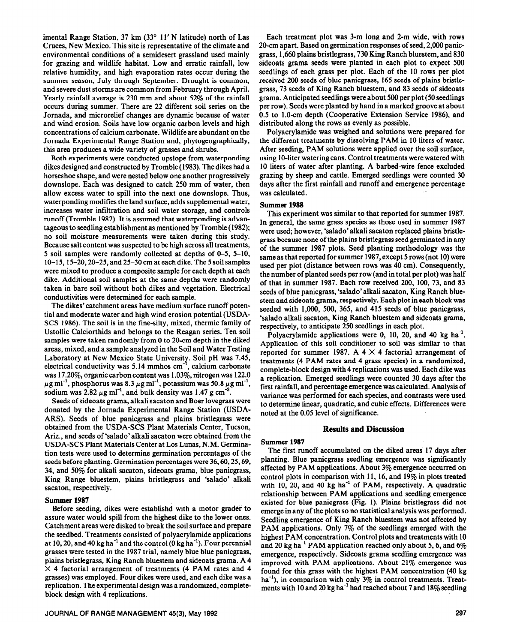imental Range Station, 37 km (33° 11' N latitude) north of Las Cruces, New Mexico. This site is representative of the climate and environmental conditions of a semidesert grassland used mainly for grazing and wildlife habitat. Low and erratic rainfall, low relative humidity, and high evaporation rates occur during the summer season, July through September. Drought is common, and severe dust storms are common from February through April. Yearly rainfall average is 230 mm and about 52% of the rainfall occurs during summer. There are 22 different soil series on the Jornada, and microrelief changes are dynamic because of water and wind erosion. Soils have low organic carbon levels and high concentrations of calcium carbonate. Wildlife are abundant on the Jornada Experimental Range Station and, phytogeographically, this area produces a wide variety of grasses and shrubs.

Both experiments were conducted upslope from waterponding dikes designed and constructed by Tromble (1983). The dikes had a horseshoe shape, and were nested below one another progressively downslope. Each was designed to catch 250 mm of water, then allow excess water to spill into the next one downslope. Thus, waterponding modifies the land surface, adds supplemental water, increases water infiltration and soil water storage, and controls runoff (Tromble 1982). It is assumed that waterponding is advantageous to seedling establishment as mentioned by Tromble (1982); no soil moisture measurements were taken during this study. Because salt content was suspected to be high across all treatments, 5 soil samples were randomly collected at depths of O-5, 5-10, lo-15,15-20,20-25, and 25-30 cm at each dike. The 5 soil samples were mixed to produce a composite sample for each depth at each dike. Additional soil samples at the same depths were randomly taken in bare soil without both dikes and vegetation. Electrical conductivities were determined for each sample.

The dikes'catchment areas have medium surface runoff potential and moderate water and high wind erosion potential (USDA-SCS 1986). The soil is in the fine-silty, mixed, thermic family of Ustollic Calciorthids and belongs to the Reagan series. Ten soil samples were taken randomly from 0 to 20-cm depth in the diked areas, mixed, and a sample analyzed in the Soil and Water Testing Laboratory at New Mexico State University. Soil pH was 7.45, electrical conductivity was  $5.14$  mmhos  $cm^{-1}$ , calcium carbonate was 17.20%, organic carbon content was 1.03%, nitrogen was 122.0  $\mu$ g ml<sup>-1</sup>, phosphorus was 8.3  $\mu$ g ml<sup>-1</sup>, potassium was 50.8  $\mu$ g ml<sup>-1</sup>, sodium was 2.82  $\mu$ g ml<sup>-1</sup>, and bulk density was 1.47 g cm<sup>-1</sup>

Seeds of sideoats grama, alkali sacaton and Boer lovegrass were donated by the Jornada Experimental Range Station (USDA-ARS). Seeds of blue panicgrass and plains bristlegrass were obtained from the USDA-SCS Plant Materials Center, Tucson, Ariz., and seeds of 'salado'alkali sacaton were obtained from the USDA-SCS Plant Materials Center at Los Lunas, N.M. Germination tests were used to determine germination percentages of the seeds before planting. Germination percentages were 36,60,25,69, 34, and 50% for alkali sacaton, sideoats grama, blue panicgrass, King Range bluestem, plains bristlegrass and 'salado' alkali sacaton, respectively.

## **Summer 1987**

Before seeding, dikes were establishd with a motor grader to assure water would spill from the highest dike to the lower ones. Catchment areas were disked to break the soil surface and prepare the seedbed. Treatments consisted of polyacrylamide applications at 10, 20, and 40 kg ha<sup>-1</sup> and the control  $(0 \text{ kg ha}^{-1})$ . Four perennial grasses were tested in the 1987 trial, namely blue blue panicgrass, plains bristlegrass, King Ranch bluestem and sideoats grama. A 4  $\times$  4 factorial arrangement of treatments (4 PAM rates and 4 grasses) was employed. Four dikes were used, and each dike was a replication. The experimental design was a randomized, completeblock design with 4 replications.

Each treatment plot was 3-m long and 2-m wide, with rows 20-cm apart. Based on germination responses of seed, 2,000 panicgrass, 1,660 plains bristlegrass, 730 King Ranch bluestem, and 830 sideoats grama seeds were planted in each plot to expect 500 seedlings of each grass per plot. Each of the 10 rows per plot received 200 seeds of blue panicgrass, 165 seeds of plains bristlegrass, 73 seeds of King Ranch bluestem, and 83 seeds of sideoats grama. Anticipated seedlings were about 500 per plot (50 seedlings per row). Seeds were planted by hand in a marked groove at about 0.5 to l.Ocm depth (Cooperative Extension Service 1986), and distributed along the rows as evenly as possible.

Polyacrylamide was weighed and solutions were prepared for the different treatments by dissolving PAM in 10 liters of water. After seeding, PAM solutions were applied over the soil surface, using IO-liter watering cans. Control treatments were watered with 10 liters of water after planting. A barbed-wire fence excluded grazing by sheep and cattle. Emerged seedlings were counted 30 days after the first rainfall and runoff and emergence percentage was calculated.

#### **Summer 1988**

This experiment was similar to that reported for summer 1987. In general, the same grass species as those used in summer 1987 were used; however, 'salado'alkali sacaton replaced plains bristlegrass because none of the plains bristlegrass seed germinated in any of the summer 1987 plots. Seed planting methodology was the same as that reported for summer 1987, except 5 rows (not IO) were used per plot (distance between rows was 40 cm). Consequently, the number of planted seeds per row (and in total per plot) was half of that in summer 1987. Each row received 200, 100, 73, and 83 seeds of blue panicgrass, 'salado'alkali sacaton, King Ranch bluestem and sideoats grama, respectively. Each plot in each block was seeded with 1,000, 500, 365, and 415 seeds of blue panicgrass, 'salado alkali sacaton, King Ranch bluestem and sideoats grama, respectively, to anticipate 250 seedlings in each plot.

Polyacrylamide applications were  $0$ ,  $10$ ,  $20$ , and  $40$  kg ha<sup>-1</sup>. Application of this soil conditioner to soil was similar to that reported for summer 1987. A  $4 \times 4$  factorial arrangement of treatments (4 PAM rates and 4 grass species) in a randomized, complete-block design with 4 replications was used. Each dike was a replication. Emerged seedlings were counted 30 days after the first rainfall, and percentage emergence was calculated. Analysis of variance was performed for each species, and contrasts were used to determine linear, quadratic, and cubic effects. Differences were noted at the 0.05 level of significance.

## **Results and Discussion**

#### **Summer 1987**

**The** first runoff accumulated on the diked areas 17 days after planting. Blue panicgrass seedling emergence was significantly affected by PAM applications. About 3% emergence occurred on control plots in comparison with 11, 16, and 19% in plots treated with 10, 20, and 40 kg ha<sup>-1</sup> of PAM, respectively. A quadratic relationship between PAM applications and seedling emergence existed for blue panicgrass (Fig. 1). Plains bristlegrass did not emerge in any of the plots so no statistical analysis was performed. Seedling emergence of King Ranch bluestem was not affected by PAM applications. Only 7% of the seedlings emerged with the highest PAM concentration. Control plots and treatments with 10 and 20 kg ha<sup>-1</sup> PAM application reached only about 5, 6, and  $6\%$ emergence, respectively. Sideoats grama seedling emergence was improved with PAM applications. About 21% emergence was found for this grass with the highest PAM concentration (40 kg ha<sup>-1</sup>), in comparison with only 3% in control treatments. Treatments with 10 and 20 kg ha<sup>-1</sup> had reached about 7 and 18% seedling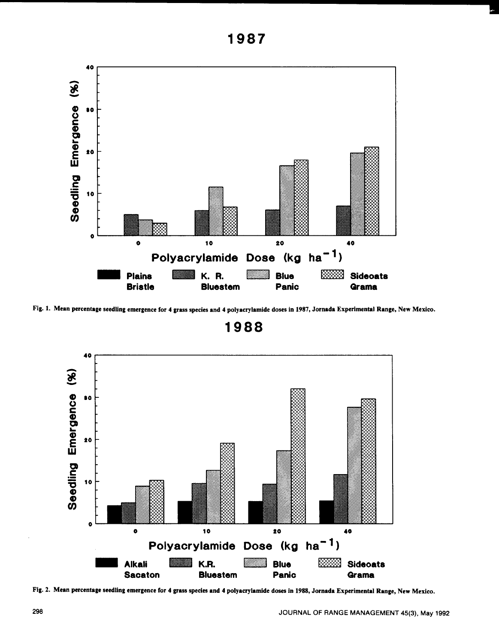

Fig. 1. Mean percentage seedling emergence for 4 grass species and 4 polyacrylamide doses in 1987, Jornada Experimental Range, New Mexico.

1988



Fig. 2. Mean percentage seedling emergence for 4 grass species and 4 polyacrylamide doses in 1988, Jornada Experimental Range, New Mexico.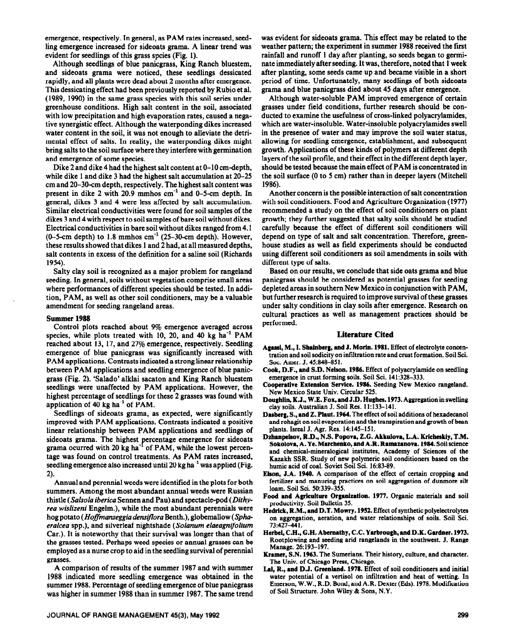emergence, respectively. In general, as PAM rates increased, seedling emergence increased for sideoats grama. A linear trend was evident for seedlings of this grass spcies (Fig. 1).

Although seedlings of blue panicgrass, King Ranch bluestem, and sideoats grama were noticed, these seedlings dessicated rapidly, and all plants were dead about 2 months after emergence. This dessicating effect had been previously reported by Rubio et al. (1989, 1990) in the same grass species with this soil series under greenhouse conditions. High salt content in the soil, associated with low precipitation and high evaporation rates, caused a negative synergistic effect. Although the waterponding dikes increased water content in the soil, it was not enough to alleviate the detrimental effect of salts. In reality, the waterponding dikes might bring salts to the soil surface where they interfere with germination and emergence of some species.

Dike 2 and dike 4 had the highest salt content at O-10 cm-depth, while dike 1 and dike 3 had the highest salt accumulation at 20-25 cm and 20-30-cm depth, respectively. The highest salt content was present in dike 2 with  $20.9$  mmhos  $cm^{-1}$  and 0-5-cm depth. In general, dikes 3 and 4 were less affected by salt accumulation. Similar electrical conductivities were found for soil samples of the dikes 3 and 4 with respect to soil samples of bare soil without dikes. Electrical conductivities in bare soil without dikes ranged from 4.1  $(0-5-cm$  depth) to 1.8 mmhos cm<sup>-1</sup> (25-30-cm depth). However, these results showed that dikes 1 and 2 had, at all measured depths, salt contents in excess of the definition for a saline soil (Richards 1954).

Salty clay soil is recognized as a major problem for rangeland seeding. In general, soils without vegetation comprise small areas where performances of different species should be tested. In addition, PAM, as well as other soil conditioners, may be a valuable amendment for seeding rangeland areas.

#### **Summer** 1988

Control plots reached about 9% emergence averaged across species, while plots treated with 10, 20, and 40 kg  $ha^{-1}$   $PAM$ reached about 13, 17, and 27% emergence, respectively. Seedling emergence of blue panicgrass was significantly increased with PAM applications. Contrasts indicated a strong linear relationship between PAM applications and seedling emergence of blue panicgrass (Fig. 2). 'Salado' alklai sacaton and King Ranch bluestem seedlings were unaffected by PAM applications. However, the highest percentage of seedlings for these 2 grasses was found with application of 40 kg ha<sup>-1</sup> of PAM.

Seedlings of sideoats grama, as expected, were significantly improved with PAM applications. Contrasts indicated a positive linear relationship between PAM applications and seedlings of sideoats grama. The highest percentage emergence for sideoats<br>grama ocurred with 20 kg ha<sup>-1</sup> of PAM, while the lowest percentage was found on control treatments. As PAM rates increased, seedling emergence also increased until 20 kg ha<sup>-1</sup> was applied (Fig. 2).

Annual and perennial weeds were identified in the plots for both summers. Among the most abundant annual weeds were Russian thistle *(Salsola iberica* Sennen and Pau) and spectacle-pod *(Dizhyrea wislizeni* Engelm.), while the most abundant perennials were hog potato *(Hoffmanseggia densijlora* Benth.), globemallow *(Sphaeralcea* spp.), and silverleaf nightshade *(Solanum elaeagnifolium*  Car.). It is noteworthy that their survival was longer than that of the grasses tested. Perhaps weed species or annual grasses can be employed as a nurse crop to aid in the seedling survival of perennial grasses.

A comparison of results of the summer 1987 and with summer 1988 indicated more seedling emergence was obtained in the summer 1988. Percentage of seedling emergence of blue panicgrass was higher in summer 1988 than in summer 1987. The same trend

was evident for sideoats grama. This effect may be related to the weather pattern; the experiment in summer 1988 received the first rainfall and runoff 1 day after planting, so seeds began to germinate immediately after seeding. It was, therefore, noted that 1 week after planting, some seeds came up and became visible in a short period of time. Unfortunately, many seedlings of both sideoats grama and blue panicgrass died about 45 days after emergence.

Although water-soluble PAM improved emergence of certain grasses under field conditions, further research should be conducted to examine the usefulness of cross-linked polyacrylamides, which are water-insoluble. Water-insoluble polyacrylamides swell in the presence of water and may improve the soil water status, allowing for seedling emergence, establishment, and subsequent growth. Applications of these kinds of polymers at different depth layers of the soil profile, and their effect in the different depth layer, should be tested because the main effect of PAM is concentrated in the soil surface (0 to 5 cm) rather than in deeper layers (Mitchell 1986).

Another concern is the possible interaction of salt concentration with soil conditioners. Food and Agriculture Organization (1977) recommended a study on the effect of soil conditioners on plant growth; they further suggested that salty soils should be studied carefully because the effect of different soil conditioners will depend on type of salt and salt concentration. Therefore, greenhouse studies as well as field experiments should be conducted using different soil conditioners as soil amendments in soils with different type of salts.

Based on our results, we conclude that side oats grama and blue panicgrass should be considered as potential grasses for seeding depleted areas in southern New Mexico in conjunction with PAM, but further research is required to improve survival of these grasses under salty conditions in clay soils after emergence. Research on cultural practices as well as management practices should be performed.

## Literature Cited

- **Agassi, M., I. Shainberg, and J. Morin. 1981. Effect of** electrolyte concen**tration and soil sodicity on infiltration rate and crust formation. Soil Sci.**  Soc. Amer. J. 45:848-851.
- **Cook, D.F., and S.D. Nelson. 1986. Effect of polyacrylamide on seedling emergence in crust forming soils. Soil Sci. 141:328-333.**
- **Cooperative Extension Service. 1986.** Seeding New Mexico rangeland. **New Mexico State Univ. Circular 525.**
- **Doughlin, K.J., W .E. Fox, and J.D. Hughes. 1973. Aggregation in swelling clay soils. Australian J. Soil Res. 11:133-141.**
- **Da&erg, S., and Z. Plaut. 1964. The effect of soil additions of hexadecanol and rohagit on soil evaporation and the transpiration and growth of bean**  plants. Isreal J. Agr. Res. 14:145-151.
- Dzhanpeisov, R.D., N.S. Popova, Z.G. Akkulova, L.A. Kricheskiy, T.M. **Sokolova, A. Ye. Marchenko, and A.R. Ramazanova. 1984. Soil science and chemical-mineralogical institutes, Academy of Sciences of the Kazakh SSR. Study of new polymeric soil conditioners based on the humic acid of coal. Soviet Soil Sci. 16~83-89.**
- **Elson, J.A. 1940. A comparison of the effect of certain cropping and fertilizer and manuring practices on soil aggregation of dunmore silt loam. Soil Sci. 50:339-355.**
- **Food and Agriculture Organization. 1977. Organic materials and soil productivity. Soil Bulletin 35.**
- **Hedrick, R.M., and D.T. Mowvy. 1952. Effect of synthetic polyelectrolytes on aggregation, aeration, and water relationships of soils. Soil Sci. 73~427441.**
- Herbel, C.H., G.H. Abernathy, C.C. Yarbrough, and D.K. Gardner. 1973. **Rootplowing and seeding arid rangelands in the southwest. J. Range Manage. 26:193–197.**
- **Kramer, S.N. 1963. The Sumerians. Their history, culture. and character. The Univ. of Chicago Press, Chicago.**
- **Lal, R., and D.J. Greenland. 1978. Effect of soil conditioners and initial water potential of a vertisol on infiltration and heat of wetting. In Emerson, W.W., R.D. Bond, and A.R. Dexter (Eds). 1978. Modification of Soil Structure. John Wiley & Sons, N.Y.**